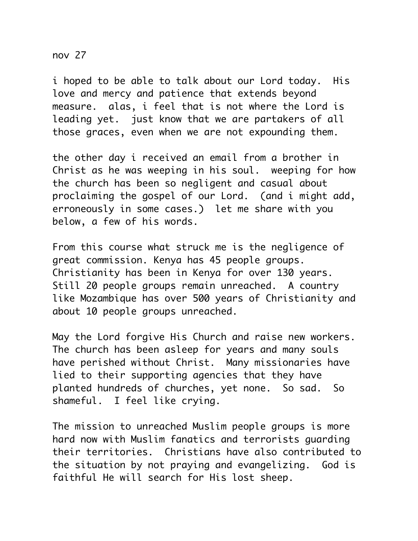nov 27

i hoped to be able to talk about our Lord today. His love and mercy and patience that extends beyond measure. alas, i feel that is not where the Lord is leading yet. just know that we are partakers of all those graces, even when we are not expounding them.

the other day i received an email from a brother in Christ as he was weeping in his soul. weeping for how the church has been so negligent and casual about proclaiming the gospel of our Lord. (and i might add, erroneously in some cases.) let me share with you below, a few of his words.

From this course what struck me is the negligence of great commission. Kenya has 45 people groups. Christianity has been in Kenya for over 130 years. Still 20 people groups remain unreached. A country like Mozambique has over 500 years of Christianity and about 10 people groups unreached.

May the Lord forgive His Church and raise new workers. The church has been asleep for years and many souls have perished without Christ. Many missionaries have lied to their supporting agencies that they have planted hundreds of churches, yet none. So sad. So shameful. I feel like crying.

The mission to unreached Muslim people groups is more hard now with Muslim fanatics and terrorists guarding their territories. Christians have also contributed to the situation by not praying and evangelizing. God is faithful He will search for His lost sheep.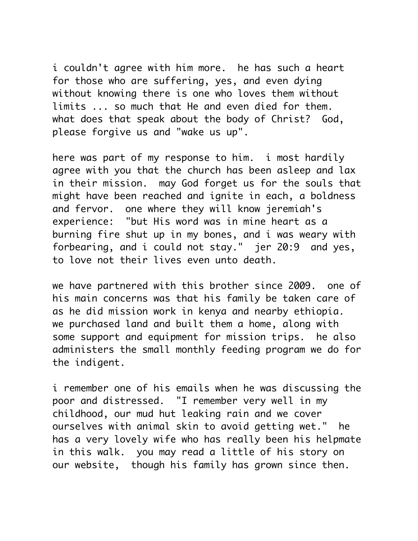i couldn't agree with him more. he has such a heart for those who are suffering, yes, and even dying without knowing there is one who loves them without limits ... so much that He and even died for them. what does that speak about the body of Christ? God, please forgive us and "wake us up".

here was part of my response to him. i most hardily agree with you that the church has been asleep and lax in their mission. may God forget us for the souls that might have been reached and ignite in each, a boldness and fervor. one where they will know jeremiah's experience: "but His word was in mine heart as a burning fire shut up in my bones, and i was weary with forbearing, and i could not stay." jer 20:9 and yes, to love not their lives even unto death.

we have partnered with this brother since 2009. one of his main concerns was that his family be taken care of as he did mission work in kenya and nearby ethiopia. we purchased land and built them a home, along with some support and equipment for mission trips. he also administers the small monthly feeding program we do for the indigent.

i remember one of his emails when he was discussing the poor and distressed. "I remember very well in my childhood, our mud hut leaking rain and we cover ourselves with animal skin to avoid getting wet." he has a very lovely wife who has really been his helpmate in this walk. you may read a little of his story on our website, though his family has grown since then.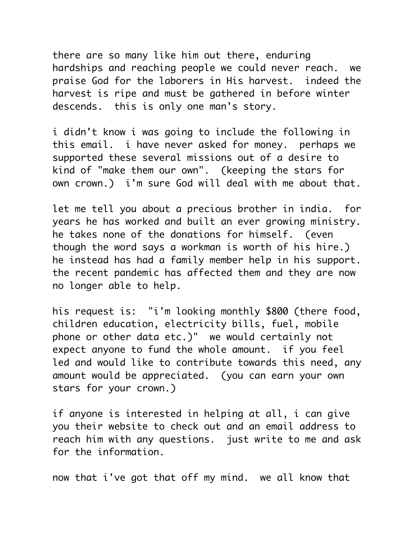there are so many like him out there, enduring hardships and reaching people we could never reach. we praise God for the laborers in His harvest. indeed the harvest is ripe and must be gathered in before winter descends. this is only one man's story.

i didn't know i was going to include the following in this email. i have never asked for money. perhaps we supported these several missions out of a desire to kind of "make them our own". (keeping the stars for own crown.) i'm sure God will deal with me about that.

let me tell you about a precious brother in india. for years he has worked and built an ever growing ministry. he takes none of the donations for himself. (even though the word says a workman is worth of his hire.) he instead has had a family member help in his support. the recent pandemic has affected them and they are now no longer able to help.

his request is: "i'm looking monthly \$800 (there food, children education, electricity bills, fuel, mobile phone or other data etc.)" we would certainly not expect anyone to fund the whole amount. if you feel led and would like to contribute towards this need, any amount would be appreciated. (you can earn your own stars for your crown.)

if anyone is interested in helping at all, i can give you their website to check out and an email address to reach him with any questions. just write to me and ask for the information.

now that i've got that off my mind. we all know that